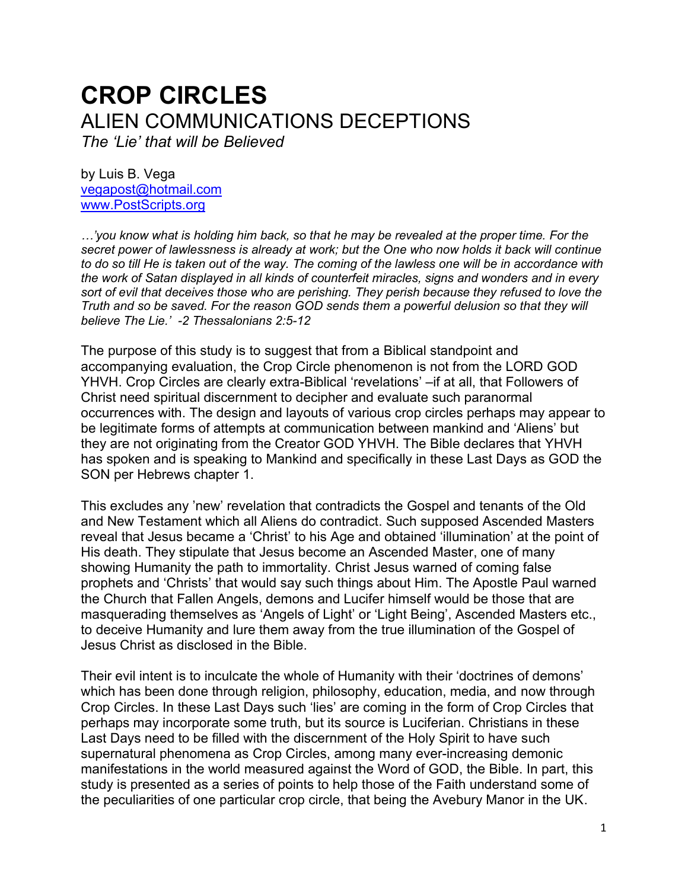# **CROP CIRCLES** ALIEN COMMUNICATIONS DECEPTIONS

*The 'Lie' that will be Believed* 

by Luis B. Vega [vegapost@hotmail.com](mailto:vegapost@hotmail.com) [www.PostScripts.org](http://www.postscripts.org/)

*…'you know what is holding him back, so that he may be revealed at the proper time. For the secret power of lawlessness is already at work; but the One who now holds it back will continue to do so till He is taken out of the way. The coming of the lawless one will be in accordance with the work of Satan displayed in all kinds of counterfeit miracles, signs and wonders and in every sort of evil that deceives those who are perishing. They perish because they refused to love the Truth and so be saved. For the reason GOD sends them a powerful delusion so that they will believe The Lie.' -2 Thessalonians 2:5-12*

The purpose of this study is to suggest that from a Biblical standpoint and accompanying evaluation, the Crop Circle phenomenon is not from the LORD GOD YHVH. Crop Circles are clearly extra-Biblical 'revelations' –if at all, that Followers of Christ need spiritual discernment to decipher and evaluate such paranormal occurrences with. The design and layouts of various crop circles perhaps may appear to be legitimate forms of attempts at communication between mankind and 'Aliens' but they are not originating from the Creator GOD YHVH. The Bible declares that YHVH has spoken and is speaking to Mankind and specifically in these Last Days as GOD the SON per Hebrews chapter 1.

This excludes any 'new' revelation that contradicts the Gospel and tenants of the Old and New Testament which all Aliens do contradict. Such supposed Ascended Masters reveal that Jesus became a 'Christ' to his Age and obtained 'illumination' at the point of His death. They stipulate that Jesus become an Ascended Master, one of many showing Humanity the path to immortality. Christ Jesus warned of coming false prophets and 'Christs' that would say such things about Him. The Apostle Paul warned the Church that Fallen Angels, demons and Lucifer himself would be those that are masquerading themselves as 'Angels of Light' or 'Light Being', Ascended Masters etc., to deceive Humanity and lure them away from the true illumination of the Gospel of Jesus Christ as disclosed in the Bible.

Their evil intent is to inculcate the whole of Humanity with their 'doctrines of demons' which has been done through religion, philosophy, education, media, and now through Crop Circles. In these Last Days such 'lies' are coming in the form of Crop Circles that perhaps may incorporate some truth, but its source is Luciferian. Christians in these Last Days need to be filled with the discernment of the Holy Spirit to have such supernatural phenomena as Crop Circles, among many ever-increasing demonic manifestations in the world measured against the Word of GOD, the Bible. In part, this study is presented as a series of points to help those of the Faith understand some of the peculiarities of one particular crop circle, that being the Avebury Manor in the UK.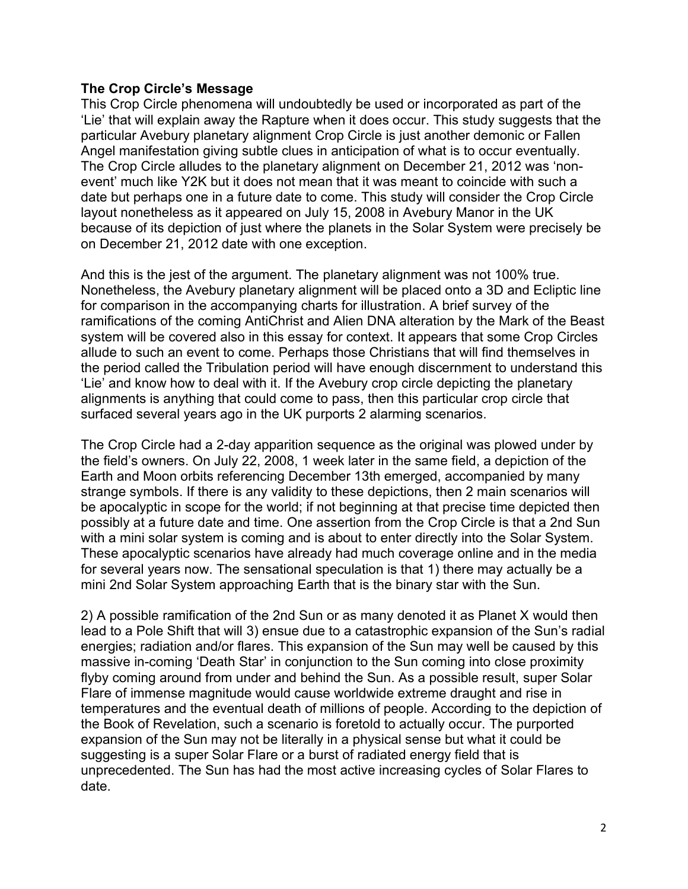## **The Crop Circle's Message**

This Crop Circle phenomena will undoubtedly be used or incorporated as part of the 'Lie' that will explain away the Rapture when it does occur. This study suggests that the particular Avebury planetary alignment Crop Circle is just another demonic or Fallen Angel manifestation giving subtle clues in anticipation of what is to occur eventually. The Crop Circle alludes to the planetary alignment on December 21, 2012 was 'nonevent' much like Y2K but it does not mean that it was meant to coincide with such a date but perhaps one in a future date to come. This study will consider the Crop Circle layout nonetheless as it appeared on July 15, 2008 in Avebury Manor in the UK because of its depiction of just where the planets in the Solar System were precisely be on December 21, 2012 date with one exception.

And this is the jest of the argument. The planetary alignment was not 100% true. Nonetheless, the Avebury planetary alignment will be placed onto a 3D and Ecliptic line for comparison in the accompanying charts for illustration. A brief survey of the ramifications of the coming AntiChrist and Alien DNA alteration by the Mark of the Beast system will be covered also in this essay for context. It appears that some Crop Circles allude to such an event to come. Perhaps those Christians that will find themselves in the period called the Tribulation period will have enough discernment to understand this 'Lie' and know how to deal with it. If the Avebury crop circle depicting the planetary alignments is anything that could come to pass, then this particular crop circle that surfaced several years ago in the UK purports 2 alarming scenarios.

The Crop Circle had a 2-day apparition sequence as the original was plowed under by the field's owners. On July 22, 2008, 1 week later in the same field, a depiction of the Earth and Moon orbits referencing December 13th emerged, accompanied by many strange symbols. If there is any validity to these depictions, then 2 main scenarios will be apocalyptic in scope for the world; if not beginning at that precise time depicted then possibly at a future date and time. One assertion from the Crop Circle is that a 2nd Sun with a mini solar system is coming and is about to enter directly into the Solar System. These apocalyptic scenarios have already had much coverage online and in the media for several years now. The sensational speculation is that 1) there may actually be a mini 2nd Solar System approaching Earth that is the binary star with the Sun.

2) A possible ramification of the 2nd Sun or as many denoted it as Planet X would then lead to a Pole Shift that will 3) ensue due to a catastrophic expansion of the Sun's radial energies; radiation and/or flares. This expansion of the Sun may well be caused by this massive in-coming 'Death Star' in conjunction to the Sun coming into close proximity flyby coming around from under and behind the Sun. As a possible result, super Solar Flare of immense magnitude would cause worldwide extreme draught and rise in temperatures and the eventual death of millions of people. According to the depiction of the Book of Revelation, such a scenario is foretold to actually occur. The purported expansion of the Sun may not be literally in a physical sense but what it could be suggesting is a super Solar Flare or a burst of radiated energy field that is unprecedented. The Sun has had the most active increasing cycles of Solar Flares to date.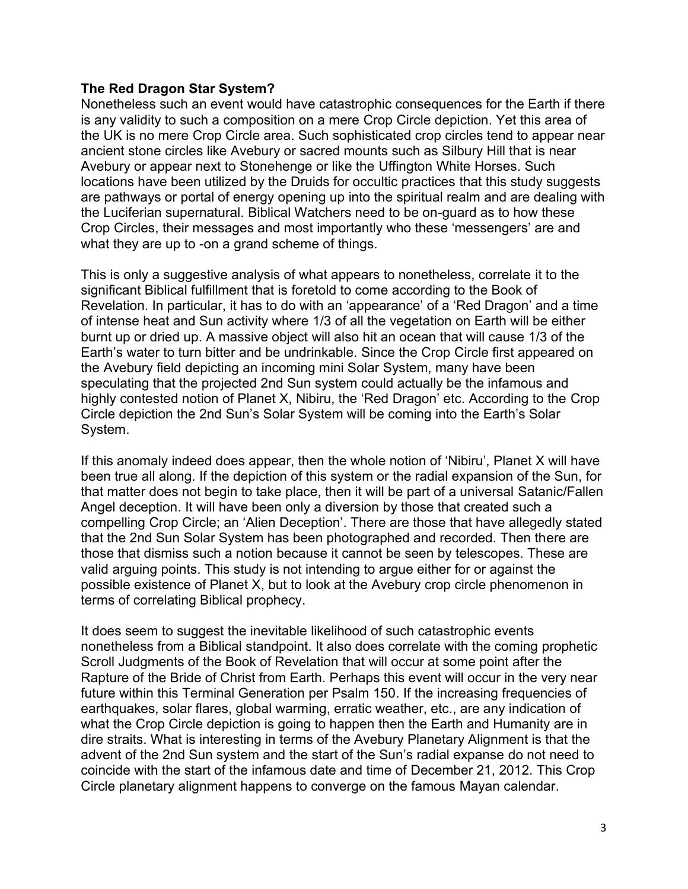## **The Red Dragon Star System?**

Nonetheless such an event would have catastrophic consequences for the Earth if there is any validity to such a composition on a mere Crop Circle depiction. Yet this area of the UK is no mere Crop Circle area. Such sophisticated crop circles tend to appear near ancient stone circles like Avebury or sacred mounts such as Silbury Hill that is near Avebury or appear next to Stonehenge or like the Uffington White Horses. Such locations have been utilized by the Druids for occultic practices that this study suggests are pathways or portal of energy opening up into the spiritual realm and are dealing with the Luciferian supernatural. Biblical Watchers need to be on-guard as to how these Crop Circles, their messages and most importantly who these 'messengers' are and what they are up to -on a grand scheme of things.

This is only a suggestive analysis of what appears to nonetheless, correlate it to the significant Biblical fulfillment that is foretold to come according to the Book of Revelation. In particular, it has to do with an 'appearance' of a 'Red Dragon' and a time of intense heat and Sun activity where 1/3 of all the vegetation on Earth will be either burnt up or dried up. A massive object will also hit an ocean that will cause 1/3 of the Earth's water to turn bitter and be undrinkable. Since the Crop Circle first appeared on the Avebury field depicting an incoming mini Solar System, many have been speculating that the projected 2nd Sun system could actually be the infamous and highly contested notion of Planet X, Nibiru, the 'Red Dragon' etc. According to the Crop Circle depiction the 2nd Sun's Solar System will be coming into the Earth's Solar System.

If this anomaly indeed does appear, then the whole notion of 'Nibiru', Planet X will have been true all along. If the depiction of this system or the radial expansion of the Sun, for that matter does not begin to take place, then it will be part of a universal Satanic/Fallen Angel deception. It will have been only a diversion by those that created such a compelling Crop Circle; an 'Alien Deception'. There are those that have allegedly stated that the 2nd Sun Solar System has been photographed and recorded. Then there are those that dismiss such a notion because it cannot be seen by telescopes. These are valid arguing points. This study is not intending to argue either for or against the possible existence of Planet X, but to look at the Avebury crop circle phenomenon in terms of correlating Biblical prophecy.

It does seem to suggest the inevitable likelihood of such catastrophic events nonetheless from a Biblical standpoint. It also does correlate with the coming prophetic Scroll Judgments of the Book of Revelation that will occur at some point after the Rapture of the Bride of Christ from Earth. Perhaps this event will occur in the very near future within this Terminal Generation per Psalm 150. If the increasing frequencies of earthquakes, solar flares, global warming, erratic weather, etc., are any indication of what the Crop Circle depiction is going to happen then the Earth and Humanity are in dire straits. What is interesting in terms of the Avebury Planetary Alignment is that the advent of the 2nd Sun system and the start of the Sun's radial expanse do not need to coincide with the start of the infamous date and time of December 21, 2012. This Crop Circle planetary alignment happens to converge on the famous Mayan calendar.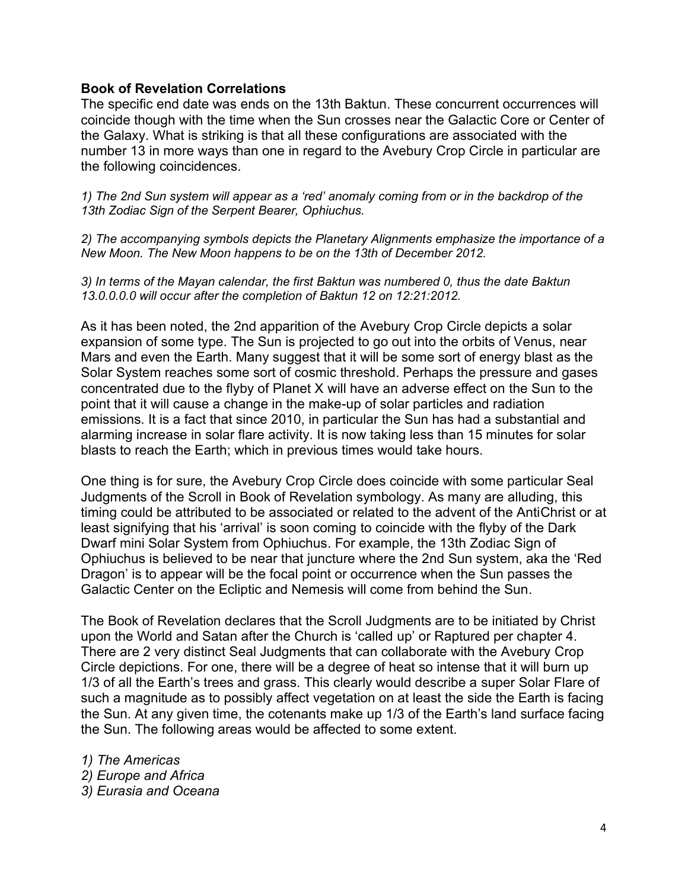#### **Book of Revelation Correlations**

The specific end date was ends on the 13th Baktun. These concurrent occurrences will coincide though with the time when the Sun crosses near the Galactic Core or Center of the Galaxy. What is striking is that all these configurations are associated with the number 13 in more ways than one in regard to the Avebury Crop Circle in particular are the following coincidences.

*1) The 2nd Sun system will appear as a 'red' anomaly coming from or in the backdrop of the 13th Zodiac Sign of the Serpent Bearer, Ophiuchus.* 

*2) The accompanying symbols depicts the Planetary Alignments emphasize the importance of a New Moon. The New Moon happens to be on the 13th of December 2012.* 

*3) In terms of the Mayan calendar, the first Baktun was numbered 0, thus the date Baktun 13.0.0.0.0 will occur after the completion of Baktun 12 on 12:21:2012.*

As it has been noted, the 2nd apparition of the Avebury Crop Circle depicts a solar expansion of some type. The Sun is projected to go out into the orbits of Venus, near Mars and even the Earth. Many suggest that it will be some sort of energy blast as the Solar System reaches some sort of cosmic threshold. Perhaps the pressure and gases concentrated due to the flyby of Planet X will have an adverse effect on the Sun to the point that it will cause a change in the make-up of solar particles and radiation emissions. It is a fact that since 2010, in particular the Sun has had a substantial and alarming increase in solar flare activity. It is now taking less than 15 minutes for solar blasts to reach the Earth; which in previous times would take hours.

One thing is for sure, the Avebury Crop Circle does coincide with some particular Seal Judgments of the Scroll in Book of Revelation symbology. As many are alluding, this timing could be attributed to be associated or related to the advent of the AntiChrist or at least signifying that his 'arrival' is soon coming to coincide with the flyby of the Dark Dwarf mini Solar System from Ophiuchus. For example, the 13th Zodiac Sign of Ophiuchus is believed to be near that juncture where the 2nd Sun system, aka the 'Red Dragon' is to appear will be the focal point or occurrence when the Sun passes the Galactic Center on the Ecliptic and Nemesis will come from behind the Sun.

The Book of Revelation declares that the Scroll Judgments are to be initiated by Christ upon the World and Satan after the Church is 'called up' or Raptured per chapter 4. There are 2 very distinct Seal Judgments that can collaborate with the Avebury Crop Circle depictions. For one, there will be a degree of heat so intense that it will burn up 1/3 of all the Earth's trees and grass. This clearly would describe a super Solar Flare of such a magnitude as to possibly affect vegetation on at least the side the Earth is facing the Sun. At any given time, the cotenants make up 1/3 of the Earth's land surface facing the Sun. The following areas would be affected to some extent.

*1) The Americas 2) Europe and Africa 3) Eurasia and Oceana*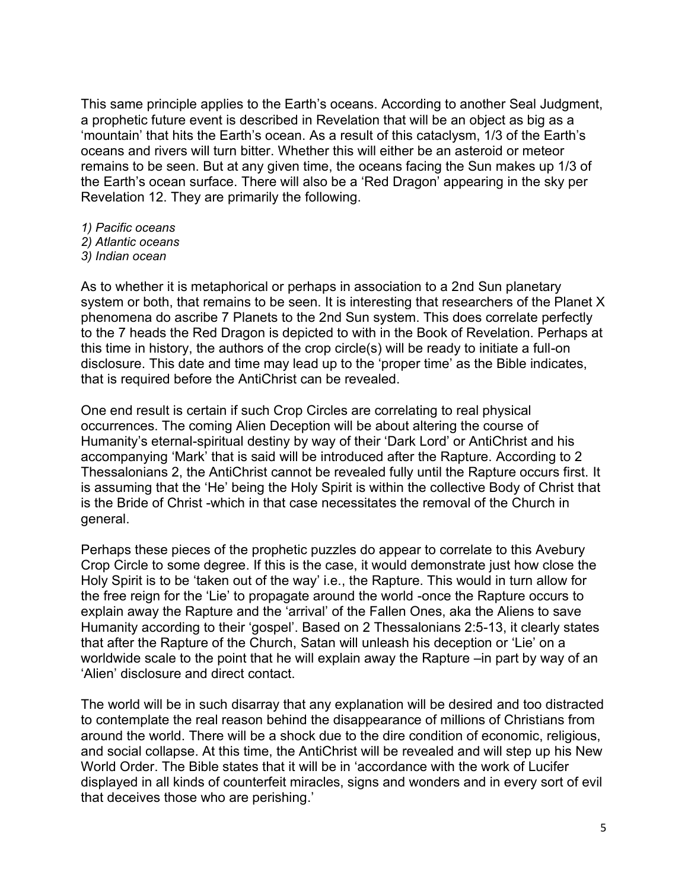This same principle applies to the Earth's oceans. According to another Seal Judgment, a prophetic future event is described in Revelation that will be an object as big as a 'mountain' that hits the Earth's ocean. As a result of this cataclysm, 1/3 of the Earth's oceans and rivers will turn bitter. Whether this will either be an asteroid or meteor remains to be seen. But at any given time, the oceans facing the Sun makes up 1/3 of the Earth's ocean surface. There will also be a 'Red Dragon' appearing in the sky per Revelation 12. They are primarily the following.

- *1) Pacific oceans*
- *2) Atlantic oceans*
- *3) Indian ocean*

As to whether it is metaphorical or perhaps in association to a 2nd Sun planetary system or both, that remains to be seen. It is interesting that researchers of the Planet X phenomena do ascribe 7 Planets to the 2nd Sun system. This does correlate perfectly to the 7 heads the Red Dragon is depicted to with in the Book of Revelation. Perhaps at this time in history, the authors of the crop circle(s) will be ready to initiate a full-on disclosure. This date and time may lead up to the 'proper time' as the Bible indicates, that is required before the AntiChrist can be revealed.

One end result is certain if such Crop Circles are correlating to real physical occurrences. The coming Alien Deception will be about altering the course of Humanity's eternal-spiritual destiny by way of their 'Dark Lord' or AntiChrist and his accompanying 'Mark' that is said will be introduced after the Rapture. According to 2 Thessalonians 2, the AntiChrist cannot be revealed fully until the Rapture occurs first. It is assuming that the 'He' being the Holy Spirit is within the collective Body of Christ that is the Bride of Christ -which in that case necessitates the removal of the Church in general.

Perhaps these pieces of the prophetic puzzles do appear to correlate to this Avebury Crop Circle to some degree. If this is the case, it would demonstrate just how close the Holy Spirit is to be 'taken out of the way' i.e., the Rapture. This would in turn allow for the free reign for the 'Lie' to propagate around the world -once the Rapture occurs to explain away the Rapture and the 'arrival' of the Fallen Ones, aka the Aliens to save Humanity according to their 'gospel'. Based on 2 Thessalonians 2:5-13, it clearly states that after the Rapture of the Church, Satan will unleash his deception or 'Lie' on a worldwide scale to the point that he will explain away the Rapture –in part by way of an 'Alien' disclosure and direct contact.

The world will be in such disarray that any explanation will be desired and too distracted to contemplate the real reason behind the disappearance of millions of Christians from around the world. There will be a shock due to the dire condition of economic, religious, and social collapse. At this time, the AntiChrist will be revealed and will step up his New World Order. The Bible states that it will be in 'accordance with the work of Lucifer displayed in all kinds of counterfeit miracles, signs and wonders and in every sort of evil that deceives those who are perishing.'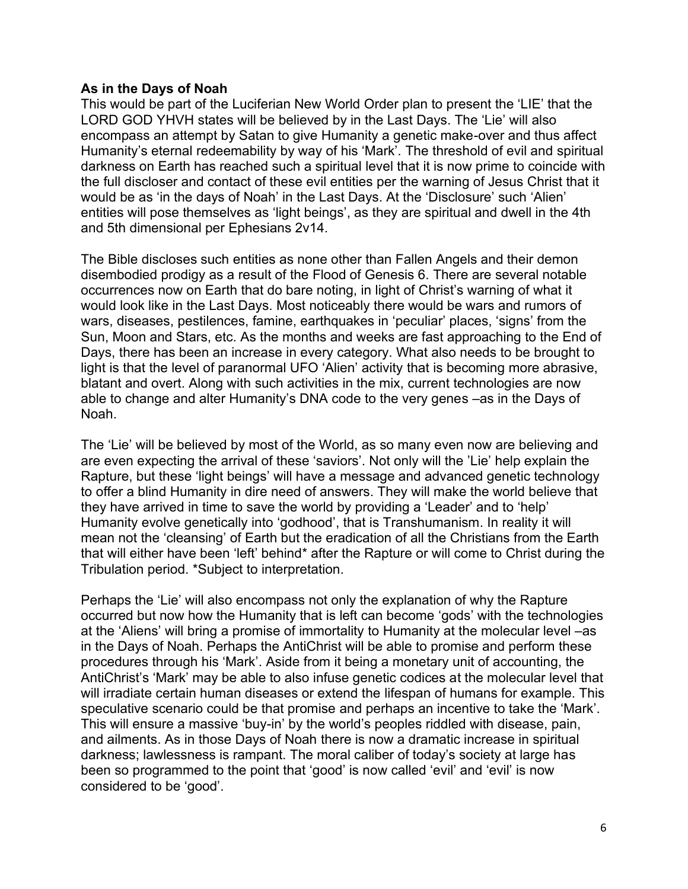## **As in the Days of Noah**

This would be part of the Luciferian New World Order plan to present the 'LIE' that the LORD GOD YHVH states will be believed by in the Last Days. The 'Lie' will also encompass an attempt by Satan to give Humanity a genetic make-over and thus affect Humanity's eternal redeemability by way of his 'Mark'. The threshold of evil and spiritual darkness on Earth has reached such a spiritual level that it is now prime to coincide with the full discloser and contact of these evil entities per the warning of Jesus Christ that it would be as 'in the days of Noah' in the Last Days. At the 'Disclosure' such 'Alien' entities will pose themselves as 'light beings', as they are spiritual and dwell in the 4th and 5th dimensional per Ephesians 2v14.

The Bible discloses such entities as none other than Fallen Angels and their demon disembodied prodigy as a result of the Flood of Genesis 6. There are several notable occurrences now on Earth that do bare noting, in light of Christ's warning of what it would look like in the Last Days. Most noticeably there would be wars and rumors of wars, diseases, pestilences, famine, earthquakes in 'peculiar' places, 'signs' from the Sun, Moon and Stars, etc. As the months and weeks are fast approaching to the End of Days, there has been an increase in every category. What also needs to be brought to light is that the level of paranormal UFO 'Alien' activity that is becoming more abrasive, blatant and overt. Along with such activities in the mix, current technologies are now able to change and alter Humanity's DNA code to the very genes –as in the Days of Noah.

The 'Lie' will be believed by most of the World, as so many even now are believing and are even expecting the arrival of these 'saviors'. Not only will the 'Lie' help explain the Rapture, but these 'light beings' will have a message and advanced genetic technology to offer a blind Humanity in dire need of answers. They will make the world believe that they have arrived in time to save the world by providing a 'Leader' and to 'help' Humanity evolve genetically into 'godhood', that is Transhumanism. In reality it will mean not the 'cleansing' of Earth but the eradication of all the Christians from the Earth that will either have been 'left' behind\* after the Rapture or will come to Christ during the Tribulation period. \*Subject to interpretation.

Perhaps the 'Lie' will also encompass not only the explanation of why the Rapture occurred but now how the Humanity that is left can become 'gods' with the technologies at the 'Aliens' will bring a promise of immortality to Humanity at the molecular level –as in the Days of Noah. Perhaps the AntiChrist will be able to promise and perform these procedures through his 'Mark'. Aside from it being a monetary unit of accounting, the AntiChrist's 'Mark' may be able to also infuse genetic codices at the molecular level that will irradiate certain human diseases or extend the lifespan of humans for example. This speculative scenario could be that promise and perhaps an incentive to take the 'Mark'. This will ensure a massive 'buy-in' by the world's peoples riddled with disease, pain, and ailments. As in those Days of Noah there is now a dramatic increase in spiritual darkness; lawlessness is rampant. The moral caliber of today's society at large has been so programmed to the point that 'good' is now called 'evil' and 'evil' is now considered to be 'good'.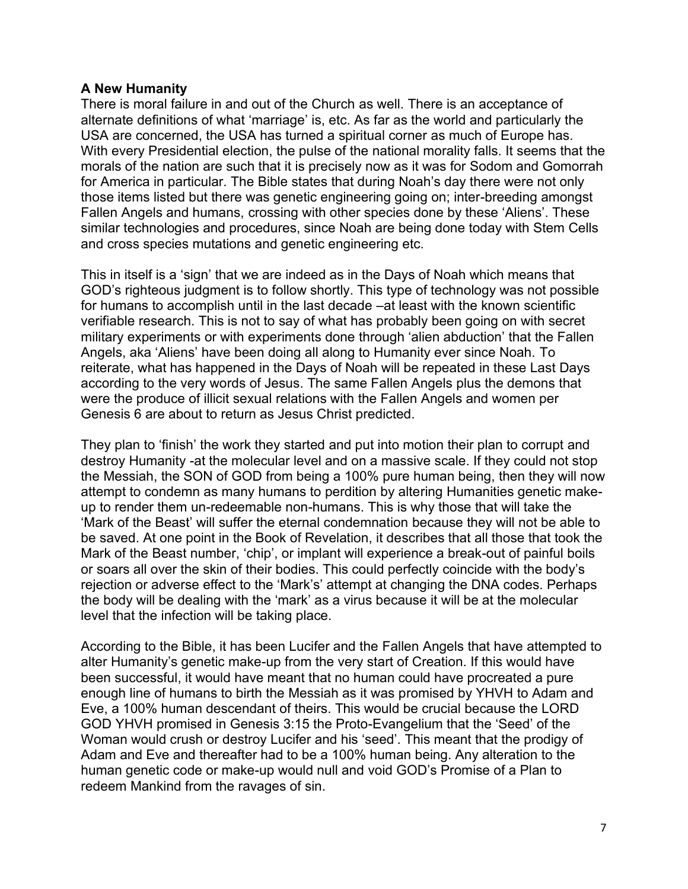## **A New Humanity**

There is moral failure in and out of the Church as well. There is an acceptance of alternate definitions of what 'marriage' is, etc. As far as the world and particularly the USA are concerned, the USA has turned a spiritual corner as much of Europe has. With every Presidential election, the pulse of the national morality falls. It seems that the morals of the nation are such that it is precisely now as it was for Sodom and Gomorrah for America in particular. The Bible states that during Noah's day there were not only those items listed but there was genetic engineering going on; inter-breeding amongst Fallen Angels and humans, crossing with other species done by these 'Aliens'. These similar technologies and procedures, since Noah are being done today with Stem Cells and cross species mutations and genetic engineering etc.

This in itself is a 'sign' that we are indeed as in the Days of Noah which means that GOD's righteous judgment is to follow shortly. This type of technology was not possible for humans to accomplish until in the last decade –at least with the known scientific verifiable research. This is not to say of what has probably been going on with secret military experiments or with experiments done through 'alien abduction' that the Fallen Angels, aka 'Aliens' have been doing all along to Humanity ever since Noah. To reiterate, what has happened in the Days of Noah will be repeated in these Last Days according to the very words of Jesus. The same Fallen Angels plus the demons that were the produce of illicit sexual relations with the Fallen Angels and women per Genesis 6 are about to return as Jesus Christ predicted.

They plan to 'finish' the work they started and put into motion their plan to corrupt and destroy Humanity -at the molecular level and on a massive scale. If they could not stop the Messiah, the SON of GOD from being a 100% pure human being, then they will now attempt to condemn as many humans to perdition by altering Humanities genetic makeup to render them un-redeemable non-humans. This is why those that will take the 'Mark of the Beast' will suffer the eternal condemnation because they will not be able to be saved. At one point in the Book of Revelation, it describes that all those that took the Mark of the Beast number, 'chip', or implant will experience a break-out of painful boils or soars all over the skin of their bodies. This could perfectly coincide with the body's rejection or adverse effect to the 'Mark's' attempt at changing the DNA codes. Perhaps the body will be dealing with the 'mark' as a virus because it will be at the molecular level that the infection will be taking place.

According to the Bible, it has been Lucifer and the Fallen Angels that have attempted to alter Humanity's genetic make-up from the very start of Creation. If this would have been successful, it would have meant that no human could have procreated a pure enough line of humans to birth the Messiah as it was promised by YHVH to Adam and Eve, a 100% human descendant of theirs. This would be crucial because the LORD GOD YHVH promised in Genesis 3:15 the Proto-Evangelium that the 'Seed' of the Woman would crush or destroy Lucifer and his 'seed'. This meant that the prodigy of Adam and Eve and thereafter had to be a 100% human being. Any alteration to the human genetic code or make-up would null and void GOD's Promise of a Plan to redeem Mankind from the ravages of sin.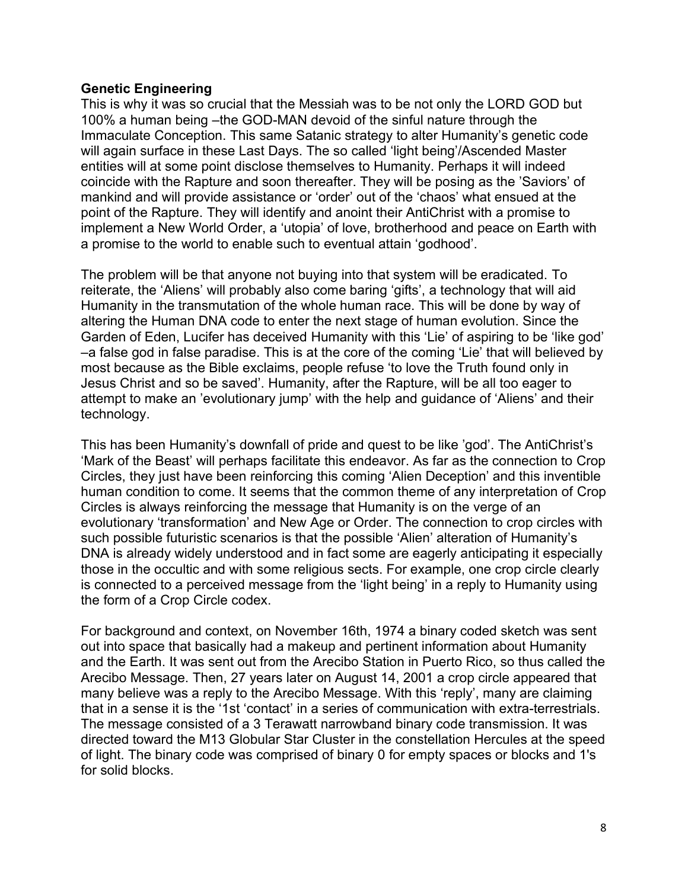## **Genetic Engineering**

This is why it was so crucial that the Messiah was to be not only the LORD GOD but 100% a human being –the GOD-MAN devoid of the sinful nature through the Immaculate Conception. This same Satanic strategy to alter Humanity's genetic code will again surface in these Last Days. The so called 'light being'/Ascended Master entities will at some point disclose themselves to Humanity. Perhaps it will indeed coincide with the Rapture and soon thereafter. They will be posing as the 'Saviors' of mankind and will provide assistance or 'order' out of the 'chaos' what ensued at the point of the Rapture. They will identify and anoint their AntiChrist with a promise to implement a New World Order, a 'utopia' of love, brotherhood and peace on Earth with a promise to the world to enable such to eventual attain 'godhood'.

The problem will be that anyone not buying into that system will be eradicated. To reiterate, the 'Aliens' will probably also come baring 'gifts', a technology that will aid Humanity in the transmutation of the whole human race. This will be done by way of altering the Human DNA code to enter the next stage of human evolution. Since the Garden of Eden, Lucifer has deceived Humanity with this 'Lie' of aspiring to be 'like god' –a false god in false paradise. This is at the core of the coming 'Lie' that will believed by most because as the Bible exclaims, people refuse 'to love the Truth found only in Jesus Christ and so be saved'. Humanity, after the Rapture, will be all too eager to attempt to make an 'evolutionary jump' with the help and guidance of 'Aliens' and their technology.

This has been Humanity's downfall of pride and quest to be like 'god'. The AntiChrist's 'Mark of the Beast' will perhaps facilitate this endeavor. As far as the connection to Crop Circles, they just have been reinforcing this coming 'Alien Deception' and this inventible human condition to come. It seems that the common theme of any interpretation of Crop Circles is always reinforcing the message that Humanity is on the verge of an evolutionary 'transformation' and New Age or Order. The connection to crop circles with such possible futuristic scenarios is that the possible 'Alien' alteration of Humanity's DNA is already widely understood and in fact some are eagerly anticipating it especially those in the occultic and with some religious sects. For example, one crop circle clearly is connected to a perceived message from the 'light being' in a reply to Humanity using the form of a Crop Circle codex.

For background and context, on November 16th, 1974 a binary coded sketch was sent out into space that basically had a makeup and pertinent information about Humanity and the Earth. It was sent out from the Arecibo Station in Puerto Rico, so thus called the Arecibo Message. Then, 27 years later on August 14, 2001 a crop circle appeared that many believe was a reply to the Arecibo Message. With this 'reply', many are claiming that in a sense it is the '1st 'contact' in a series of communication with extra-terrestrials. The message consisted of a 3 Terawatt narrowband binary code transmission. It was directed toward the M13 Globular Star Cluster in the constellation Hercules at the speed of light. The binary code was comprised of binary 0 for empty spaces or blocks and 1's for solid blocks.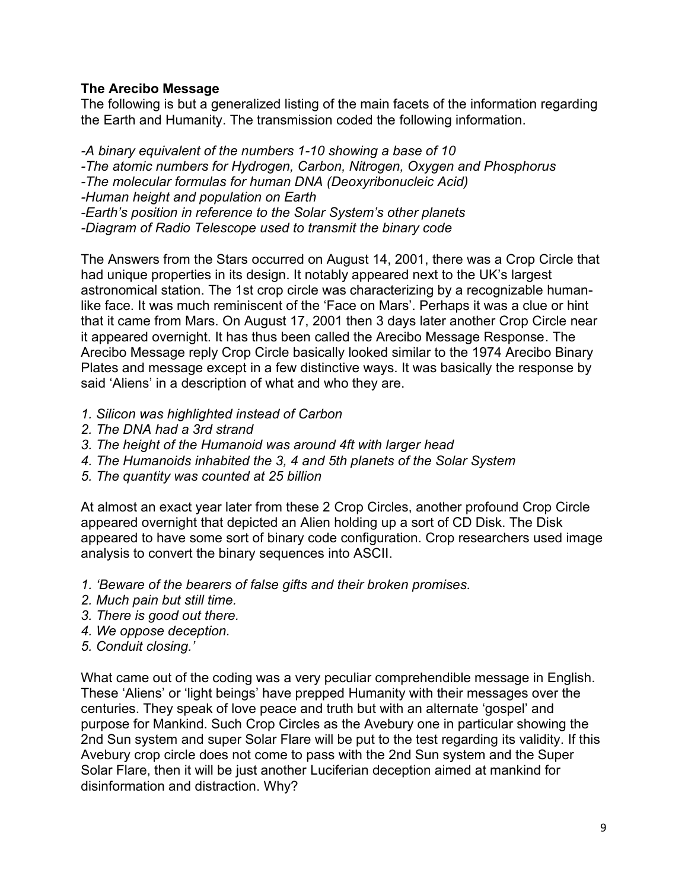# **The Arecibo Message**

The following is but a generalized listing of the main facets of the information regarding the Earth and Humanity. The transmission coded the following information.

*-A binary equivalent of the numbers 1-10 showing a base of 10 -The atomic numbers for Hydrogen, Carbon, Nitrogen, Oxygen and Phosphorus -The molecular formulas for human DNA (Deoxyribonucleic Acid) -Human height and population on Earth -Earth's position in reference to the Solar System's other planets -Diagram of Radio Telescope used to transmit the binary code*

The Answers from the Stars occurred on August 14, 2001, there was a Crop Circle that had unique properties in its design. It notably appeared next to the UK's largest astronomical station. The 1st crop circle was characterizing by a recognizable humanlike face. It was much reminiscent of the 'Face on Mars'. Perhaps it was a clue or hint that it came from Mars. On August 17, 2001 then 3 days later another Crop Circle near it appeared overnight. It has thus been called the Arecibo Message Response. The Arecibo Message reply Crop Circle basically looked similar to the 1974 Arecibo Binary Plates and message except in a few distinctive ways. It was basically the response by said 'Aliens' in a description of what and who they are.

- *1. Silicon was highlighted instead of Carbon*
- *2. The DNA had a 3rd strand*
- *3. The height of the Humanoid was around 4ft with larger head*
- *4. The Humanoids inhabited the 3, 4 and 5th planets of the Solar System*
- *5. The quantity was counted at 25 billion*

At almost an exact year later from these 2 Crop Circles, another profound Crop Circle appeared overnight that depicted an Alien holding up a sort of CD Disk. The Disk appeared to have some sort of binary code configuration. Crop researchers used image analysis to convert the binary sequences into ASCII.

- *1. 'Beware of the bearers of false gifts and their broken promises.*
- *2. Much pain but still time.*
- *3. There is good out there.*
- *4. We oppose deception.*
- *5. Conduit closing.'*

What came out of the coding was a very peculiar comprehendible message in English. These 'Aliens' or 'light beings' have prepped Humanity with their messages over the centuries. They speak of love peace and truth but with an alternate 'gospel' and purpose for Mankind. Such Crop Circles as the Avebury one in particular showing the 2nd Sun system and super Solar Flare will be put to the test regarding its validity. If this Avebury crop circle does not come to pass with the 2nd Sun system and the Super Solar Flare, then it will be just another Luciferian deception aimed at mankind for disinformation and distraction. Why?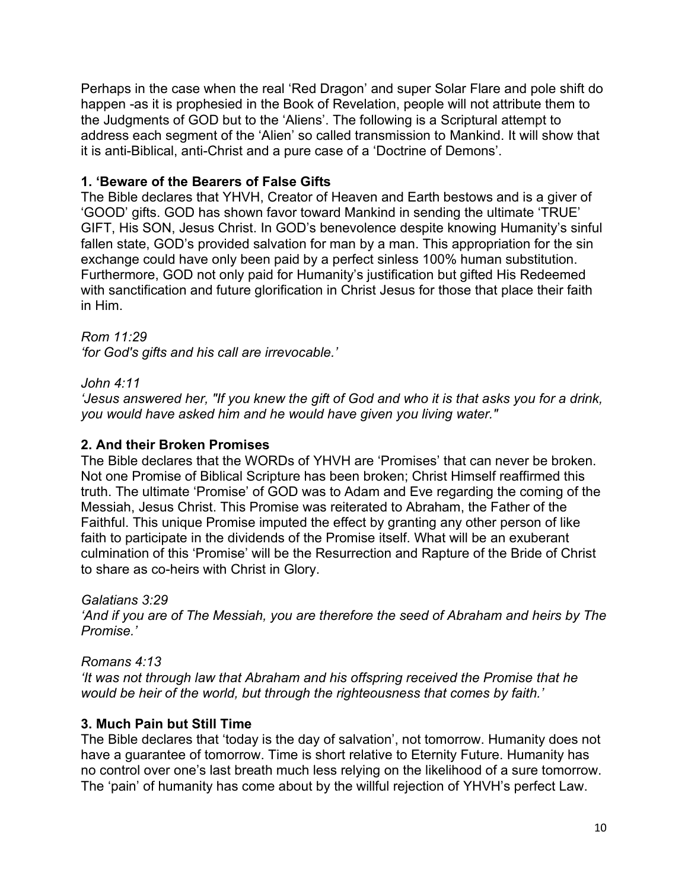Perhaps in the case when the real 'Red Dragon' and super Solar Flare and pole shift do happen -as it is prophesied in the Book of Revelation, people will not attribute them to the Judgments of GOD but to the 'Aliens'. The following is a Scriptural attempt to address each segment of the 'Alien' so called transmission to Mankind. It will show that it is anti-Biblical, anti-Christ and a pure case of a 'Doctrine of Demons'.

# **1. 'Beware of the Bearers of False Gifts**

The Bible declares that YHVH, Creator of Heaven and Earth bestows and is a giver of 'GOOD' gifts. GOD has shown favor toward Mankind in sending the ultimate 'TRUE' GIFT, His SON, Jesus Christ. In GOD's benevolence despite knowing Humanity's sinful fallen state, GOD's provided salvation for man by a man. This appropriation for the sin exchange could have only been paid by a perfect sinless 100% human substitution. Furthermore, GOD not only paid for Humanity's justification but gifted His Redeemed with sanctification and future glorification in Christ Jesus for those that place their faith in Him.

# *Rom 11:29*

*'for God's gifts and his call are irrevocable.'* 

# *John 4:11*

*'Jesus answered her, "If you knew the gift of God and who it is that asks you for a drink, you would have asked him and he would have given you living water."*

# **2. And their Broken Promises**

The Bible declares that the WORDs of YHVH are 'Promises' that can never be broken. Not one Promise of Biblical Scripture has been broken; Christ Himself reaffirmed this truth. The ultimate 'Promise' of GOD was to Adam and Eve regarding the coming of the Messiah, Jesus Christ. This Promise was reiterated to Abraham, the Father of the Faithful. This unique Promise imputed the effect by granting any other person of like faith to participate in the dividends of the Promise itself. What will be an exuberant culmination of this 'Promise' will be the Resurrection and Rapture of the Bride of Christ to share as co-heirs with Christ in Glory.

# *Galatians 3:29*

*'And if you are of The Messiah, you are therefore the seed of Abraham and heirs by The Promise.'* 

# *Romans 4:13*

*'It was not through law that Abraham and his offspring received the Promise that he would be heir of the world, but through the righteousness that comes by faith.'*

# **3. Much Pain but Still Time**

The Bible declares that 'today is the day of salvation', not tomorrow. Humanity does not have a guarantee of tomorrow. Time is short relative to Eternity Future. Humanity has no control over one's last breath much less relying on the likelihood of a sure tomorrow. The 'pain' of humanity has come about by the willful rejection of YHVH's perfect Law.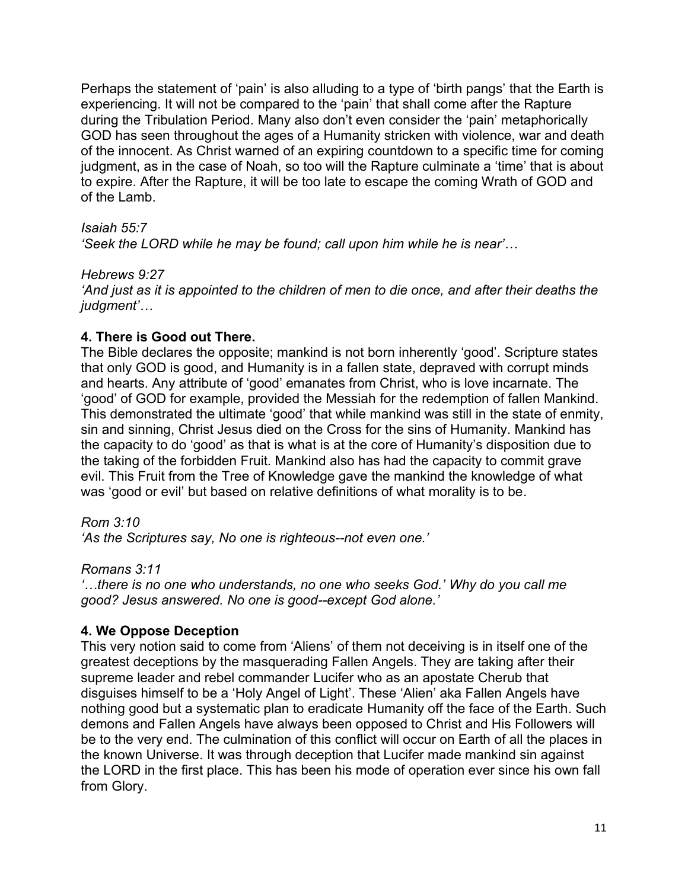Perhaps the statement of 'pain' is also alluding to a type of 'birth pangs' that the Earth is experiencing. It will not be compared to the 'pain' that shall come after the Rapture during the Tribulation Period. Many also don't even consider the 'pain' metaphorically GOD has seen throughout the ages of a Humanity stricken with violence, war and death of the innocent. As Christ warned of an expiring countdown to a specific time for coming judgment, as in the case of Noah, so too will the Rapture culminate a 'time' that is about to expire. After the Rapture, it will be too late to escape the coming Wrath of GOD and of the Lamb.

## *Isaiah 55:7*

*'Seek the LORD while he may be found; call upon him while he is near'…*

## *Hebrews 9:27*

*'And just as it is appointed to the children of men to die once, and after their deaths the judgment'…*

# **4. There is Good out There.**

The Bible declares the opposite; mankind is not born inherently 'good'. Scripture states that only GOD is good, and Humanity is in a fallen state, depraved with corrupt minds and hearts. Any attribute of 'good' emanates from Christ, who is love incarnate. The 'good' of GOD for example, provided the Messiah for the redemption of fallen Mankind. This demonstrated the ultimate 'good' that while mankind was still in the state of enmity, sin and sinning, Christ Jesus died on the Cross for the sins of Humanity. Mankind has the capacity to do 'good' as that is what is at the core of Humanity's disposition due to the taking of the forbidden Fruit. Mankind also has had the capacity to commit grave evil. This Fruit from the Tree of Knowledge gave the mankind the knowledge of what was 'good or evil' but based on relative definitions of what morality is to be.

*Rom 3:10*

*'As the Scriptures say, No one is righteous--not even one.'* 

*Romans 3:11* 

*'…there is no one who understands, no one who seeks God.' Why do you call me good? Jesus answered. No one is good--except God alone.'*

# **4. We Oppose Deception**

This very notion said to come from 'Aliens' of them not deceiving is in itself one of the greatest deceptions by the masquerading Fallen Angels. They are taking after their supreme leader and rebel commander Lucifer who as an apostate Cherub that disguises himself to be a 'Holy Angel of Light'. These 'Alien' aka Fallen Angels have nothing good but a systematic plan to eradicate Humanity off the face of the Earth. Such demons and Fallen Angels have always been opposed to Christ and His Followers will be to the very end. The culmination of this conflict will occur on Earth of all the places in the known Universe. It was through deception that Lucifer made mankind sin against the LORD in the first place. This has been his mode of operation ever since his own fall from Glory.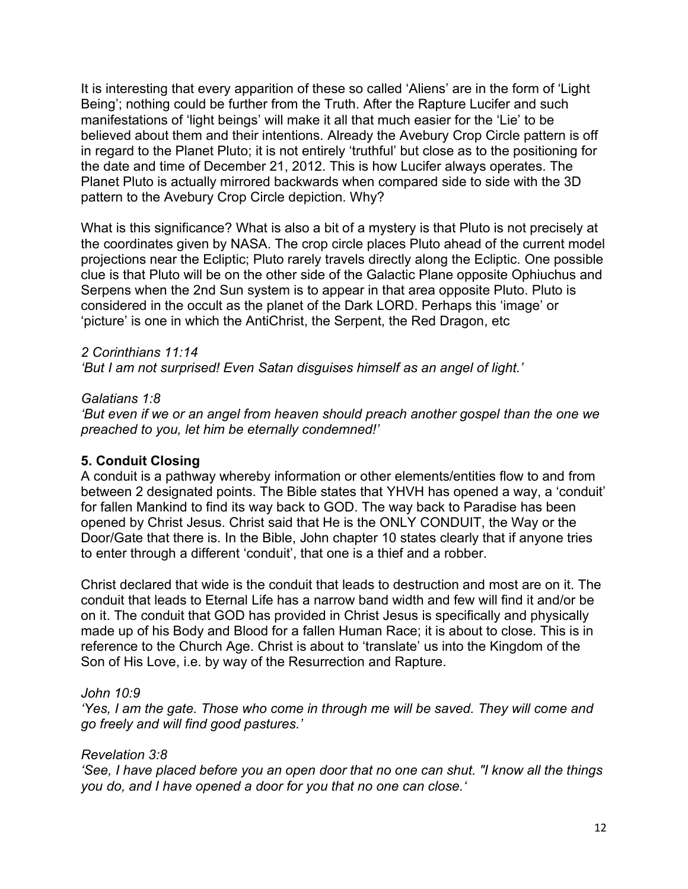It is interesting that every apparition of these so called 'Aliens' are in the form of 'Light Being'; nothing could be further from the Truth. After the Rapture Lucifer and such manifestations of 'light beings' will make it all that much easier for the 'Lie' to be believed about them and their intentions. Already the Avebury Crop Circle pattern is off in regard to the Planet Pluto; it is not entirely 'truthful' but close as to the positioning for the date and time of December 21, 2012. This is how Lucifer always operates. The Planet Pluto is actually mirrored backwards when compared side to side with the 3D pattern to the Avebury Crop Circle depiction. Why?

What is this significance? What is also a bit of a mystery is that Pluto is not precisely at the coordinates given by NASA. The crop circle places Pluto ahead of the current model projections near the Ecliptic; Pluto rarely travels directly along the Ecliptic. One possible clue is that Pluto will be on the other side of the Galactic Plane opposite Ophiuchus and Serpens when the 2nd Sun system is to appear in that area opposite Pluto. Pluto is considered in the occult as the planet of the Dark LORD. Perhaps this 'image' or 'picture' is one in which the AntiChrist, the Serpent, the Red Dragon, etc

# *2 Corinthians 11:14*

*'But I am not surprised! Even Satan disguises himself as an angel of light.'* 

# *Galatians 1:8*

*'But even if we or an angel from heaven should preach another gospel than the one we preached to you, let him be eternally condemned!'*

# **5. Conduit Closing**

A conduit is a pathway whereby information or other elements/entities flow to and from between 2 designated points. The Bible states that YHVH has opened a way, a 'conduit' for fallen Mankind to find its way back to GOD. The way back to Paradise has been opened by Christ Jesus. Christ said that He is the ONLY CONDUIT, the Way or the Door/Gate that there is. In the Bible, John chapter 10 states clearly that if anyone tries to enter through a different 'conduit', that one is a thief and a robber.

Christ declared that wide is the conduit that leads to destruction and most are on it. The conduit that leads to Eternal Life has a narrow band width and few will find it and/or be on it. The conduit that GOD has provided in Christ Jesus is specifically and physically made up of his Body and Blood for a fallen Human Race; it is about to close. This is in reference to the Church Age. Christ is about to 'translate' us into the Kingdom of the Son of His Love, i.e. by way of the Resurrection and Rapture.

# *John 10:9*

*'Yes, I am the gate. Those who come in through me will be saved. They will come and go freely and will find good pastures.'*

# *Revelation 3:8*

*'See, I have placed before you an open door that no one can shut. "I know all the things you do, and I have opened a door for you that no one can close.'*